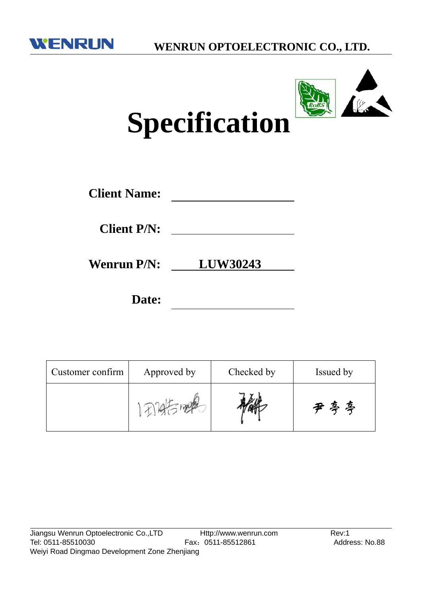



# **Specification**

| <b>Client Name:</b> |  |
|---------------------|--|
|                     |  |

**Client P/N:**

**Wenrun P/N: LUW30243**

**Date:**

| Customer confirm | Approved by | Checked by | Issued by |  |
|------------------|-------------|------------|-----------|--|
|                  |             |            | 丑喜喜       |  |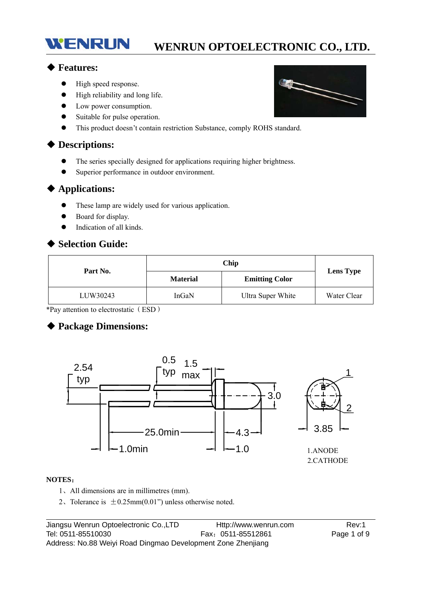#### ◆ **Features:**

 $\bullet$  High speed response.

WENRUN

- High reliability and long life.
- Low power consumption.
- Suitable for pulse operation.
- This product doesn't contain restriction Substance, comply ROHS standard.

#### ◆ **Descriptions:**

- The series specially designed for applications requiring higher brightness.
- Superior performance in outdoor environment.

#### ◆ **Applications:**

- These lamp are widely used for various application.
- Board for display.
- Indication of all kinds.

#### ◆ **Selection Guide:**

| Part No. |                 | <b>Lens Type</b>      |             |  |
|----------|-----------------|-----------------------|-------------|--|
|          | <b>Material</b> | <b>Emitting Color</b> |             |  |
| LUW30243 | InGaN           | Ultra Super White     | Water Clear |  |

\*Pay attention to electrostatic(ESD)

#### ◆ **Package Dimensions:**



#### **NOTES**:

- 1、All dimensions are in millimetres (mm).
- 2. Tolerance is  $\pm 0.25$ mm(0.01") unless otherwise noted.

Jiangsu Wenrun Optoelectronic Co.,LTD Http://www.wenrun.com Rev:1 Tel: 0511-85510030 Fax:0511-85512861 Page 1 of 9 Address: No.88 Weiyi Road Dingmao Development Zone Zhenjiang

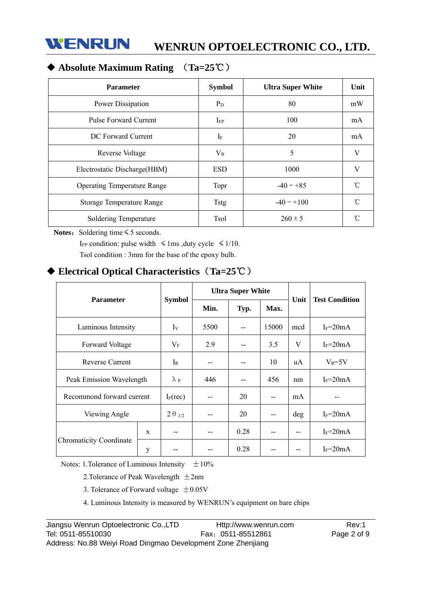

## ◆ **Absolute Maximum Rating** (**Ta=25**℃)

| <b>Parameter</b>                   | <b>Symbol</b> | <b>Ultra Super White</b> | Unit                |
|------------------------------------|---------------|--------------------------|---------------------|
| Power Dissipation                  | $P_D$         | 80                       | mW                  |
| Pulse Forward Current              | $I_{FP}$      | 100                      | mA                  |
| DC Forward Current                 | $I_F$         | 20                       | mA                  |
| Reverse Voltage                    | $V_{R}$       | 5                        | V                   |
| Electrostatic Discharge (HBM)      | <b>ESD</b>    | 1000                     | V                   |
| <b>Operating Temperature Range</b> | Topr          | $-40 \sim +85$           | $\hat{C}$           |
| Storage Temperature Range          | <b>Tstg</b>   | $-40 \sim +100$          | $\hat{\mathcal{C}}$ |
| Soldering Temperature              | <b>Tsol</b>   | $260 \pm 5$              | ົ                   |

Notes: Soldering time ≤ 5 seconds.

I<sub>FP</sub> condition: pulse width  $\leq 1$ ms ,duty cycle  $\leq 1/10$ . Tsol condition : 3mm for the base of the epoxy bulb.

## ◆ **Electrical Optical Characteristics**(**Ta=25**℃)

| <b>Parameter</b>               |   |                 | <b>Ultra Super White</b> |      |       |      |                       |
|--------------------------------|---|-----------------|--------------------------|------|-------|------|-----------------------|
|                                |   | <b>Symbol</b>   | Min.                     | Typ. | Max.  | Unit | <b>Test Condition</b> |
| Luminous Intensity             |   | $I_V$           | 5500                     |      | 15000 | mcd  | $I_F = 20mA$          |
| Forward Voltage                |   | $V_{\rm F}$     | 2.9                      | --   | 3.5   | V    | $I_F = 20mA$          |
| Reverse Current                |   | $I_{R}$         | --                       |      | 10    | uA   | $V_R = 5V$            |
| Peak Emission Wavelength       |   | $\lambda$ p     | 446                      |      | 456   | nm   | $I_F = 20mA$          |
| Recommond forward current      |   | $I_F(rec)$      | $-$                      | 20   | --    | mA   |                       |
| Viewing Angle                  |   | $2\theta_{1/2}$ |                          | 20   | --    | deg  | $I_F = 20mA$          |
|                                | X |                 |                          | 0.28 | --    |      | $I_F = 20mA$          |
| <b>Chromaticity Coordinate</b> | y | --              |                          | 0.28 |       |      | $I_F = 20mA$          |

Notes: 1. Tolerance of Luminous Intensity  $\pm 10\%$ 

2. Tolerance of Peak Wavelength  $\pm 2$ nm

3. Tolerance of Forward voltage  $\pm 0.05$ V

4. Luminous Intensity is measured by WENRUN's equipment on bare chips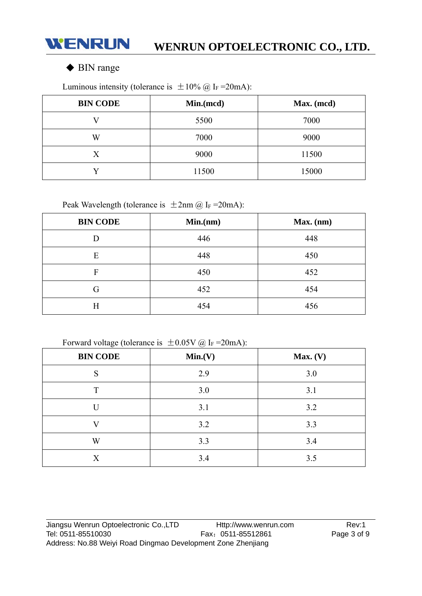

### ◆ BIN range

**BIN CODE** Min.(mcd) Max. (mcd) V 5500 7000 W 7000 9000 X 9000 11500 Y 11500 15000

Luminous intensity (tolerance is  $\pm 10\%$  @ I<sub>F</sub> = 20mA):

Peak Wavelength (tolerance is  $\pm 2$ nm @ I<sub>F</sub> = 20mA):

| <b>BIN CODE</b> | Min(nm) | $Max.$ (nm) |
|-----------------|---------|-------------|
| D               | 446     | 448         |
| E               | 448     | 450         |
| F               | 450     | 452         |
| G               | 452     | 454         |
| Η               | 454     | 456         |

Forward voltage (tolerance is  $\pm 0.05V$  @ I<sub>F</sub> = 20mA):

| ÷<br>$\sim$<br><b>BIN CODE</b> | ◡<br>Min.(V) | Max. (V) |
|--------------------------------|--------------|----------|
| S                              | 2.9          | 3.0      |
| T                              | 3.0          | 3.1      |
| U                              | 3.1          | 3.2      |
| V                              | 3.2          | 3.3      |
| W                              | 3.3          | 3.4      |
| X                              | 3.4          | 3.5      |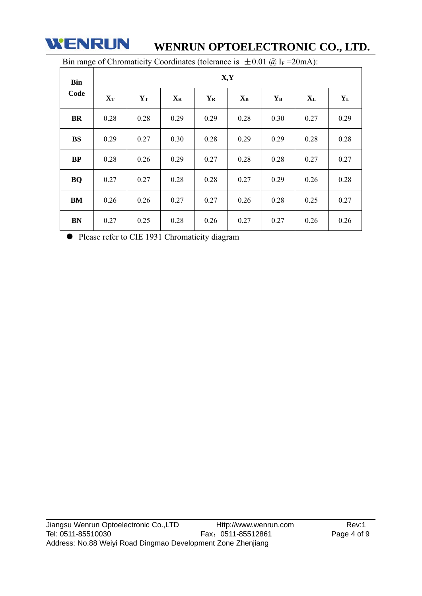

| <b>Bin</b><br>Code | X,Y               |       |                           |             |       |             |       |         |  |  |
|--------------------|-------------------|-------|---------------------------|-------------|-------|-------------|-------|---------|--|--|
|                    | ${\bf X}_{\bf T}$ | $Y_T$ | $\mathbf{X}_{\mathbf{R}}$ | ${\bf Y_R}$ | $X_B$ | ${\bf Y_B}$ | $X_L$ | $Y_{L}$ |  |  |
| <b>BR</b>          | 0.28              | 0.28  | 0.29                      | 0.29        | 0.28  | 0.30        | 0.27  | 0.29    |  |  |
| <b>BS</b>          | 0.29              | 0.27  | 0.30                      | 0.28        | 0.29  | 0.29        | 0.28  | 0.28    |  |  |
| BP                 | 0.28              | 0.26  | 0.29                      | 0.27        | 0.28  | 0.28        | 0.27  | 0.27    |  |  |
| <b>BQ</b>          | 0.27              | 0.27  | 0.28                      | 0.28        | 0.27  | 0.29        | 0.26  | 0.28    |  |  |
| BM                 | 0.26              | 0.26  | 0.27                      | 0.27        | 0.26  | 0.28        | 0.25  | 0.27    |  |  |
| <b>BN</b>          | 0.27              | 0.25  | 0.28                      | 0.26        | 0.27  | 0.27        | 0.26  | 0.26    |  |  |

Bin range of Chromaticity Coordinates (tolerance is  $\pm 0.01$  @ I<sub>F</sub> = 20mA):

Please refer to CIE 1931 Chromaticity diagram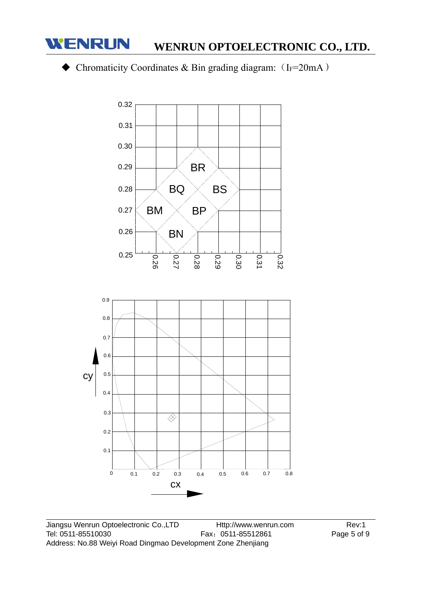

## $\blacklozenge$  Chromaticity Coordinates & Bin grading diagram: (IF=20mA)

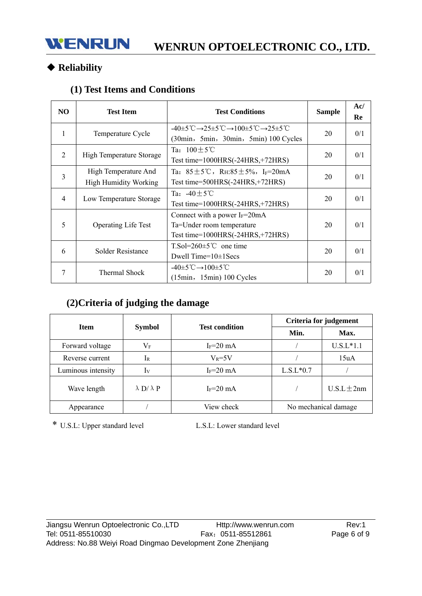# ◆ **Reliability**

## **(1) Test Items and Conditions**

| N <sub>O</sub> | <b>Test Item</b>                                     | <b>Test Conditions</b>                                                                                                                                                 | <b>Sample</b> | Ac/<br>Re |
|----------------|------------------------------------------------------|------------------------------------------------------------------------------------------------------------------------------------------------------------------------|---------------|-----------|
| 1              | Temperature Cycle                                    | $-40\pm5^{\circ}\text{C}\rightarrow25\pm5^{\circ}\text{C}\rightarrow100\pm5^{\circ}\text{C}\rightarrow25\pm5^{\circ}\text{C}$<br>(30min, 5min, 30min, 5min) 100 Cycles | 20            | 0/1       |
| 2              | High Temperature Storage                             | Ta: $100 \pm 5^{\circ}$ C<br>Test time= $1000HRS(-24HRS,+72HRS)$                                                                                                       | 20            | 0/1       |
| $\overline{3}$ | High Temperature And<br><b>High Humidity Working</b> | Ta: $85 \pm 5^{\circ}$ C, RH: $85 \pm 5\%$ , I <sub>F</sub> =20mA<br>Test time= $500HRS(-24HRS,+72HRS)$                                                                | 20            | 0/1       |
| $\overline{4}$ | Low Temperature Storage                              | Ta: $-40 \pm 5^{\circ}$ C<br>Test time= $1000HRS(-24HRS,+72HRS)$                                                                                                       | 20            | 0/1       |
| 5              | <b>Operating Life Test</b>                           | Connect with a power $I_F = 20 \text{mA}$<br>Ta=Under room temperature<br>Test time=1000HRS(-24HRS,+72HRS)                                                             | 20            | 0/1       |
| 6              | Solder Resistance                                    | $T.So=260\pm5^{\circ}C$ one time<br>Dwell Time= $10\pm1$ Secs                                                                                                          | 20            | 0/1       |
| 7              | Thermal Shock                                        | $-40\pm5^{\circ}\text{C} \rightarrow 100\pm5^{\circ}\text{C}$<br>$(15min, 15min) 100$ Cycles                                                                           | 20            | 0/1       |

# **(2)Criteria of judging the damage**

| <b>Item</b>        |                                        |               | Criteria for judgement |                 |  |
|--------------------|----------------------------------------|---------------|------------------------|-----------------|--|
|                    | <b>Test condition</b><br><b>Symbol</b> |               | Min.                   | Max.            |  |
| Forward voltage    | $\rm V_F$                              | $I_F = 20$ mA |                        | $U.S.L*1.1$     |  |
| Reverse current    | 1 <sub>R</sub>                         | $V_R = 5V$    |                        | 15uA            |  |
| Luminous intensity | 1v                                     | $I_F = 20$ mA | $L.S.L*0.7$            |                 |  |
| Wave length        | $\lambda$ D/ $\lambda$ P               | $I_F = 20$ mA |                        | $U.S.L \pm 2nm$ |  |
| Appearance         |                                        | View check    | No mechanical damage   |                 |  |

\* U.S.L: Upper standard level L.S.L: Lower standard level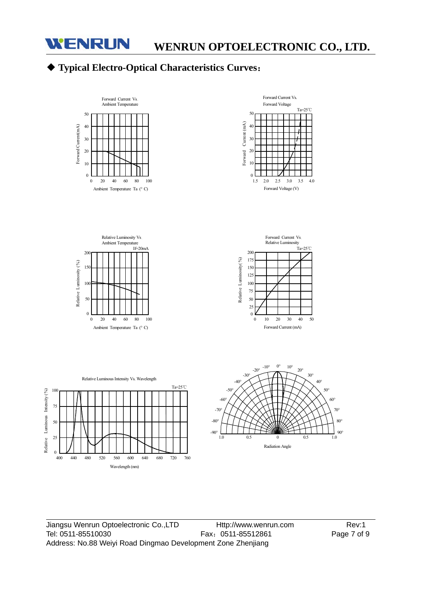

# ◆ **Typical Electro-Optical Characteristics Curves**:



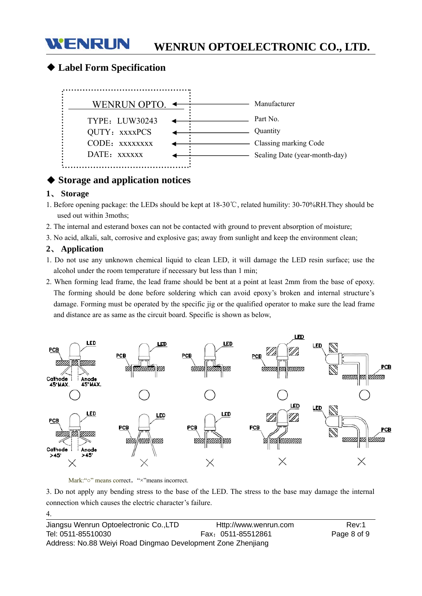#### ◆ **Label Form Specification**

**WENRUN** 



#### ◆ **Storage and application notices**

#### **1**、 **Storage**

- 1. Before opening package: the LEDs should be kept at 18-30℃, related humility: 30-70%RH.They should be used out within 3moths;
- 2. The internal and esterand boxes can not be contacted with ground to prevent absorption of moisture;
- 3. No acid, alkali, salt, corrosive and explosive gas; away from sunlight and keep the environment clean;

#### **2**、 **Application**

4.

- 1. Do not use any unknown chemical liquid to clean LED, it will damage the LED resin surface; use the alcohol under the room temperature if necessary but less than 1 min;
- 2. When forming lead frame, the lead frame should be bent at a point at least 2mm from the base of epoxy. The forming should be done before soldering which can avoid epoxy's broken and internal structure's damage. Forming must be operated by the specific jig or the qualified operator to make sure the lead frame and distance are as same as the circuit board. Specific is shown as below,



Mark:"○" means correct, "×"means incorrect.

3. Do not apply any bending stress to the base of the LED. The stress to the base may damage the internal connection which causes the electric character's failure.